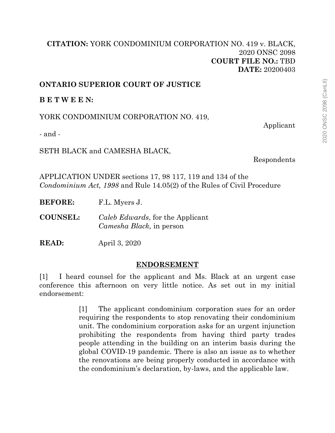## **[CITATION:](http://intra.judicialsecurity.jus.gov.on.ca/NeutralCitation/)** YORK CONDOMINIUM CORPORATION NO. 419 v. BLACK, 2020 ONSC 2098 **COURT FILE NO.:** TBD **DATE:** 20200403

## **ONTARIO SUPERIOR COURT OF JUSTICE**

**B E T W E E N:**

YORK CONDOMINIUM CORPORATION NO. 419,

Applicant

- and -

SETH BLACK and CAMESHA BLACK,

Respondents

APPLICATION UNDER sections 17, 98 117, 119 and 134 of the *Condominium Act, 1998* and Rule 14.05(2) of the Rules of Civil Procedure

**BEFORE:** F.L. Myers J.

**COUNSEL:** *Caleb Edwards*, for the Applicant *Camesha Black,* in person

**READ:** April 3, 2020

## **ENDORSEMENT**

[1] I heard counsel for the applicant and Ms. Black at an urgent case conference this afternoon on very little notice. As set out in my initial endorsement:

> [1] The applicant condominium corporation sues for an order requiring the respondents to stop renovating their condominium unit. The condominium corporation asks for an urgent injunction prohibiting the respondents from having third party trades people attending in the building on an interim basis during the global COVID-19 pandemic. There is also an issue as to whether the renovations are being properly conducted in accordance with the condominium's declaration, by-laws, and the applicable law.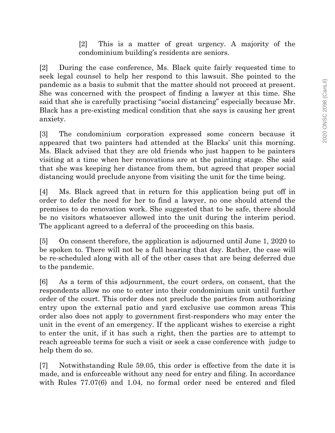[2] This is a matter of great urgency. A majority of the condominium building's residents are seniors.

[2] During the case conference, Ms. Black quite fairly requested time to seek legal counsel to help her respond to this lawsuit. She pointed to the pandemic as a basis to submit that the matter should not proceed at present. She was concerned with the prospect of finding a lawyer at this time. She said that she is carefully practising "social distancing" especially because Mr. Black has a pre-existing medical condition that she says is causing her great anxiety.

[3] The condominium corporation expressed some concern because it appeared that two painters had attended at the Blacks' unit this morning. Ms. Black advised that they are old friends who just happen to be painters visiting at a time when her renovations are at the painting stage. She said that she was keeping her distance from them, but agreed that proper social distancing would preclude anyone from visiting the unit for the time being.

[4] Ms. Black agreed that in return for this application being put off in order to defer the need for her to find a lawyer, no one should attend the premises to do renovation work. She suggested that to be safe, there should be no visitors whatsoever allowed into the unit during the interim period. The applicant agreed to a deferral of the proceeding on this basis.

[5] On consent therefore, the application is adjourned until June 1, 2020 to be spoken to. There will not be a full hearing that day. Rather, the case will be re-scheduled along with all of the other cases that are being deferred due to the pandemic.

[6] As a term of this adjournment, the court orders, on consent, that the respondents allow no one to enter into their condominium unit until further order of the court. This order does not preclude the parties from authorizing entry upon the external patio and yard exclusive use common areas This order also does not apply to government first-responders who may enter the unit in the event of an emergency. If the applicant wishes to exercise a right to enter the unit, if it has such a right, then the parties are to attempt to reach agreeable terms for such a visit or seek a case conference with judge to help them do so.

[7] Notwithstanding Rule 59.05, this order is effective from the date it is made, and is enforceable without any need for entry and filing. In accordance with Rules 77.07(6) and 1.04, no formal order need be entered and filed